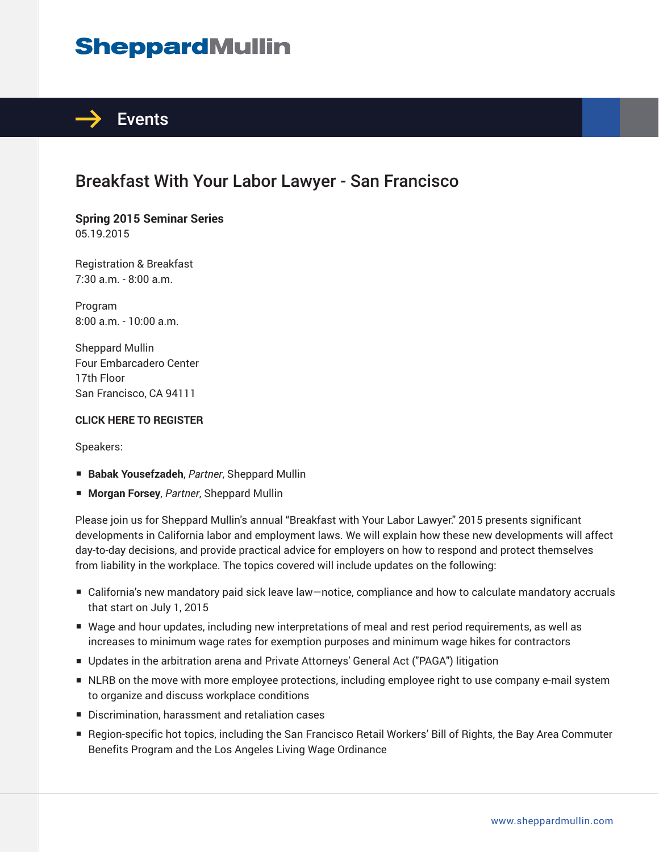# **SheppardMullin**



# Breakfast With Your Labor Lawyer - San Francisco

**Spring 2015 Seminar Series** 05.19.2015

Registration & Breakfast 7:30 a.m. - 8:00 a.m.

Program 8:00 a.m. - 10:00 a.m.

Sheppard Mullin Four Embarcadero Center 17th Floor San Francisco, CA 94111

#### **CLICK HERE TO REGISTER**

Speakers:

- **Babak Yousefzadeh**, Partner, Sheppard Mullin
- **Morgan Forsey**, *Partner*, Sheppard Mullin

Please join us for Sheppard Mullin's annual "Breakfast with Your Labor Lawyer." 2015 presents significant developments in California labor and employment laws. We will explain how these new developments will affect day-to-day decisions, and provide practical advice for employers on how to respond and protect themselves from liability in the workplace. The topics covered will include updates on the following:

- California's new mandatory paid sick leave law–notice, compliance and how to calculate mandatory accruals that start on July 1, 2015
- Wage and hour updates, including new interpretations of meal and rest period requirements, as well as increases to minimum wage rates for exemption purposes and minimum wage hikes for contractors
- Updates in the arbitration arena and Private Attorneys' General Act ("PAGA") litigation
- NLRB on the move with more employee protections, including employee right to use company e-mail system to organize and discuss workplace conditions
- Discrimination, harassment and retaliation cases
- Region-specific hot topics, including the San Francisco Retail Workers' Bill of Rights, the Bay Area Commuter Benefits Program and the Los Angeles Living Wage Ordinance